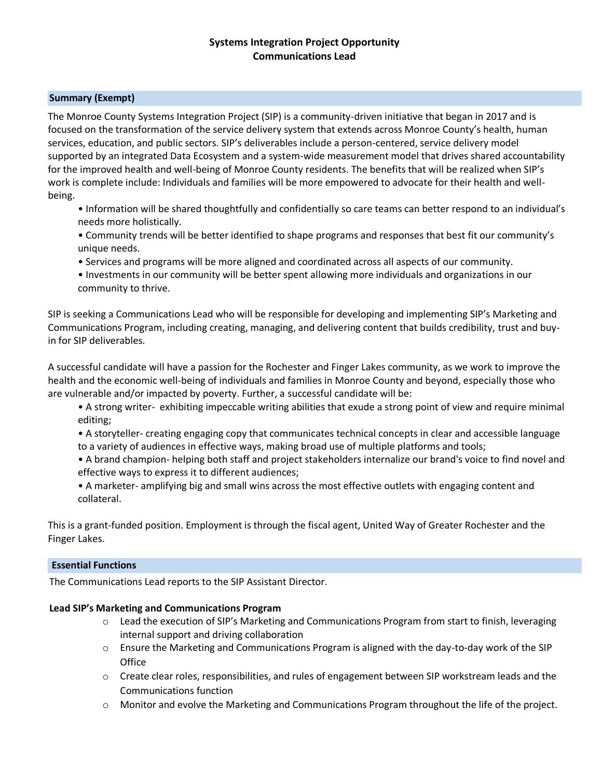# **Systems Integration Project Opportunity Communications Lead**

# **Summary (Exempt)**

The Monroe County Systems Integration Project (SIP) is a community-driven initiative that began in 2017 and is focused on the transformation of the service delivery system that extends across Monroe County's health, human services, education, and public sectors. SIP's deliverables include a person-centered, service delivery model supported by an integrated Data Ecosystem and a system-wide measurement model that drives shared accountability for the improved health and well-being of Monroe County residents. The benefits that will be realized when SIP's work is complete include: Individuals and families will be more empowered to advocate for their health and wellbeing.

- Information will be shared thoughtfully and confidentially so care teams can better respond to an individual's needs more holistically.
- Community trends will be better identified to shape programs and responses that best fit our community's unique needs.
- Services and programs will be more aligned and coordinated across all aspects of our community.
- Investments in our community will be better spent allowing more individuals and organizations in our community to thrive.

SIP is seeking a Communications Lead who will be responsible for developing and implementing SIP's Marketing and Communications Program, including creating, managing, and delivering content that builds credibility, trust and buyin for SIP deliverables.

A successful candidate will have a passion for the Rochester and Finger Lakes community, as we work to improve the health and the economic well-being of individuals and families in Monroe County and beyond, especially those who are vulnerable and/or impacted by poverty. Further, a successful candidate will be:

- A strong writer- exhibiting impeccable writing abilities that exude a strong point of view and require minimal editing;
- A storyteller- creating engaging copy that communicates technical concepts in clear and accessible language to a variety of audiences in effective ways, making broad use of multiple platforms and tools;

• A brand champion- helping both staff and project stakeholders internalize our brand's voice to find novel and effective ways to express it to different audiences;

• A marketer- amplifying big and small wins across the most effective outlets with engaging content and collateral.

This is a grant-funded position. Employment is through the fiscal agent, United Way of Greater Rochester and the Finger Lakes.

# **Essential Functions**

The Communications Lead reports to the SIP Assistant Director.

# **Lead SIP's Marketing and Communications Program**

- $\circ$  Lead the execution of SIP's Marketing and Communications Program from start to finish, leveraging internal support and driving collaboration
- o Ensure the Marketing and Communications Program is aligned with the day-to-day work of the SIP **Office**
- o Create clear roles, responsibilities, and rules of engagement between SIP workstream leads and the Communications function
- $\circ$  Monitor and evolve the Marketing and Communications Program throughout the life of the project.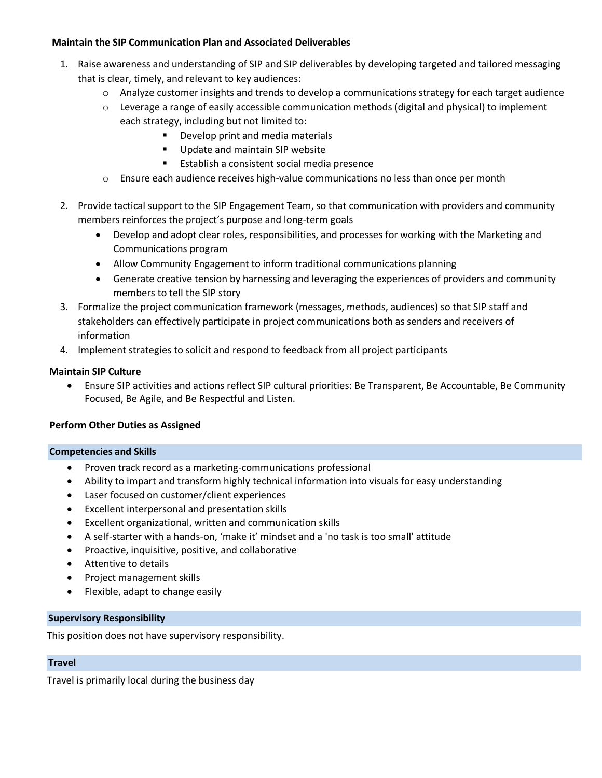# **Maintain the SIP Communication Plan and Associated Deliverables**

- 1. Raise awareness and understanding of SIP and SIP deliverables by developing targeted and tailored messaging that is clear, timely, and relevant to key audiences:
	- $\circ$  Analyze customer insights and trends to develop a communications strategy for each target audience
	- o Leverage a range of easily accessible communication methods (digital and physical) to implement each strategy, including but not limited to:
		- Develop print and media materials
		- Update and maintain SIP website
		- Establish a consistent social media presence
	- o Ensure each audience receives high-value communications no less than once per month
- 2. Provide tactical support to the SIP Engagement Team, so that communication with providers and community members reinforces the project's purpose and long-term goals
	- Develop and adopt clear roles, responsibilities, and processes for working with the Marketing and Communications program
	- Allow Community Engagement to inform traditional communications planning
	- Generate creative tension by harnessing and leveraging the experiences of providers and community members to tell the SIP story
- 3. Formalize the project communication framework (messages, methods, audiences) so that SIP staff and stakeholders can effectively participate in project communications both as senders and receivers of information
- 4. Implement strategies to solicit and respond to feedback from all project participants

# **Maintain SIP Culture**

• Ensure SIP activities and actions reflect SIP cultural priorities: Be Transparent, Be Accountable, Be Community Focused, Be Agile, and Be Respectful and Listen.

# **Perform Other Duties as Assigned**

# **Competencies and Skills**

- Proven track record as a marketing-communications professional
- Ability to impart and transform highly technical information into visuals for easy understanding
- Laser focused on customer/client experiences
- Excellent interpersonal and presentation skills
- Excellent organizational, written and communication skills
- A self-starter with a hands-on, 'make it' mindset and a 'no task is too small' attitude
- Proactive, inquisitive, positive, and collaborative
- Attentive to details
- Project management skills
- Flexible, adapt to change easily

# **Supervisory Responsibility**

This position does not have supervisory responsibility.

#### **Travel**

Travel is primarily local during the business day